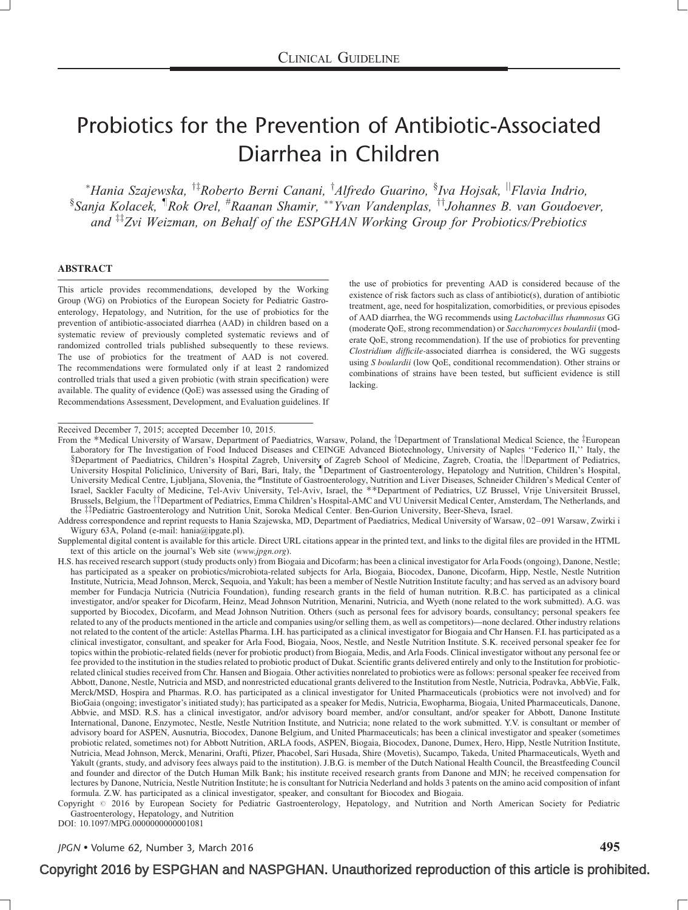# Probiotics for the Prevention of Antibiotic-Associated Diarrhea in Children

 $^*$ Hania Szajewska, <sup>†‡</sup>Roberto Berni Canani, <sup>†</sup>Alfredo Guarino, <sup>§</sup>Iva Hojsak, <sup>||</sup>Flavia Indrio, <sup>§</sup>Sanja Kolacek, <sup>¶</sup>Rok Orel, <sup>#</sup>Raanan Shamir, \*\*Yvan Vandenplas, <sup>††</sup>Johannes B. van Goudoever, and  $HZ$ vi Weizman, on Behalf of the ESPGHAN Working Group for Probiotics/Prebiotics

#### ABSTRACT

This article provides recommendations, developed by the Working Group (WG) on Probiotics of the European Society for Pediatric Gastroenterology, Hepatology, and Nutrition, for the use of probiotics for the prevention of antibiotic-associated diarrhea (AAD) in children based on a systematic review of previously completed systematic reviews and of randomized controlled trials published subsequently to these reviews. The use of probiotics for the treatment of AAD is not covered. The recommendations were formulated only if at least 2 randomized controlled trials that used a given probiotic (with strain specification) were available. The quality of evidence (QoE) was assessed using the Grading of Recommendations Assessment, Development, and Evaluation guidelines. If

the use of probiotics for preventing AAD is considered because of the existence of risk factors such as class of antibiotic(s), duration of antibiotic treatment, age, need for hospitalization, comorbidities, or previous episodes of AAD diarrhea, the WG recommends using Lactobacillus rhamnosus GG (moderate QoE, strong recommendation) or Saccharomyces boulardii (moderate QoE, strong recommendation). If the use of probiotics for preventing Clostridium difficile-associated diarrhea is considered, the WG suggests using S boulardii (low QoE, conditional recommendation). Other strains or combinations of strains have been tested, but sufficient evidence is still lacking.

Copyright @ 2016 by European Society for Pediatric Gastroenterology, Hepatology, and Nutrition and North American Society for Pediatric Gastroenterology, Hepatology, and Nutrition

DOI: [10.1097/MPG.0000000000001081](http://dx.doi.org/10.1097/MPG.0000000000001081)

 $JPGN$  • Volume 62, Number 3, March 2016  $495$ 

Received December 7, 2015; accepted December 10, 2015.

From the \*Medical University of Warsaw, Department of Paediatrics, Warsaw, Poland, the *Department of Translational Medical Science*, the <sup>‡</sup>European Laboratory for The Investigation of Food Induced Diseases and CEINGE Advanced Biotechnology, University of Naples ''Federico II,'' Italy, the §Department of Paediatrics, Children's Hospital Zagreb, University of Zagreb School of Medicine, Zagreb, Croatia, the *Department of Pediatrics*, University Hospital Policlinico, University of Bari, Bari, Italy, the "Department of Gastroenterology, Hepatology and Nutrition, Children's Hospital, University Medical Centre, Ljubljana, Slovenia, the #Institute of Gastroenterology, Nutrition and Liver Diseases, Schneider Children's Medical Center of Israel, Sackler Faculty of Medicine, Tel-Aviv University, Tel-Aviv, Israel, the \*\*Department of Pediatrics, UZ Brussel, Vrije Universiteit Brussel, Brussels, Belgium, the ††Department of Pediatrics, Emma Children's Hospital-AMC and VU Universit Medical Center, Amsterdam, The Netherlands, and the #Pediatric Gastroenterology and Nutrition Unit, Soroka Medical Center. Ben-Gurion University, Beer-Sheva, Israel.

Address correspondence and reprint requests to Hania Szajewska, MD, Department of Paediatrics, Medical University of Warsaw, 02–091 Warsaw, Zwirki i Wigury 63A, Poland (e-mail: [hania@ipgate.pl\)](http://www.surveymonkey.com/).

Supplemental digital content is available for this article. Direct URL citations appear in the printed text, and links to the digital files are provided in the HTML text of this article on the journal's Web site ([www.jpgn.org](http://www.jpgn.org/)).

H.S. has received research support (study products only) from Biogaia and Dicofarm; has been a clinical investigator for Arla Foods (ongoing), Danone, Nestle; has participated as a speaker on probiotics/microbiota-related subjects for Arla, Biogaia, Biocodex, Danone, Dicofarm, Hipp, Nestle, Nestle Nutrition Institute, Nutricia, Mead Johnson, Merck, Sequoia, and Yakult; has been a member of Nestle Nutrition Institute faculty; and has served as an advisory board member for Fundacja Nutricia (Nutricia Foundation), funding research grants in the field of human nutrition. R.B.C. has participated as a clinical investigator, and/or speaker for Dicofarm, Heinz, Mead Johnson Nutrition, Menarini, Nutricia, and Wyeth (none related to the work submitted). A.G. was supported by Biocodex, Dicofarm, and Mead Johnson Nutrition. Others (such as personal fees for advisory boards, consultancy; personal speakers fee related to any of the products mentioned in the article and companies using/or selling them, as well as competitors)—none declared. Other industry relations not related to the content of the article: Astellas Pharma. I.H. has participated as a clinical investigator for Biogaia and Chr Hansen. F.I. has participated as a clinical investigator, consultant, and speaker for Arla Food, Biogaia, Noos, Nestle, and Nestle Nutrition Institute. S.K. received personal speaker fee for topics within the probiotic-related fields (never for probiotic product) from Biogaia, Medis, and Arla Foods. Clinical investigator without any personal fee or fee provided to the institution in the studies related to probiotic product of Dukat. Scientific grants delivered entirely and only to the Institution for probioticrelated clinical studies received from Chr. Hansen and Biogaia. Other activities nonrelated to probiotics were as follows: personal speaker fee received from Abbott, Danone, Nestle, Nutricia and MSD, and nonrestricted educational grants delivered to the Institution from Nestle, Nutricia, Podravka, AbbVie, Falk, Merck/MSD, Hospira and Pharmas. R.O. has participated as a clinical investigator for United Pharmaceuticals (probiotics were not involved) and for BioGaia (ongoing; investigator's initiated study); has participated as a speaker for Medis, Nutricia, Ewopharma, Biogaia, United Pharmaceuticals, Danone, Abbvie, and MSD. R.S. has a clinical investigator, and/or advisory board member, and/or consultant, and/or speaker for Abbott, Danone Institute International, Danone, Enzymotec, Nestle, Nestle Nutrition Institute, and Nutricia; none related to the work submitted. Y.V. is consultant or member of advisory board for ASPEN, Ausnutria, Biocodex, Danone Belgium, and United Pharmaceuticals; has been a clinical investigator and speaker (sometimes probiotic related, sometimes not) for Abbott Nutrition, ARLA foods, ASPEN, Biogaia, Biocodex, Danone, Dumex, Hero, Hipp, Nestle Nutrition Institute, Nutricia, Mead Johnson, Merck, Menarini, Orafti, Pfizer, Phacobel, Sari Husada, Shire (Movetis), Sucampo, Takeda, United Pharmaceuticals, Wyeth and Yakult (grants, study, and advisory fees always paid to the institution). J.B.G. is member of the Dutch National Health Council, the Breastfeeding Council and founder and director of the Dutch Human Milk Bank; his institute received research grants from Danone and MJN; he received compensation for lectures by Danone, Nutricia, Nestle Nutrition Institute; he is consultant for Nutricia Nederland and holds 3 patents on the amino acid composition of infant formula. Z.W. has participated as a clinical investigator, speaker, and consultant for Biocodex and Biogaia.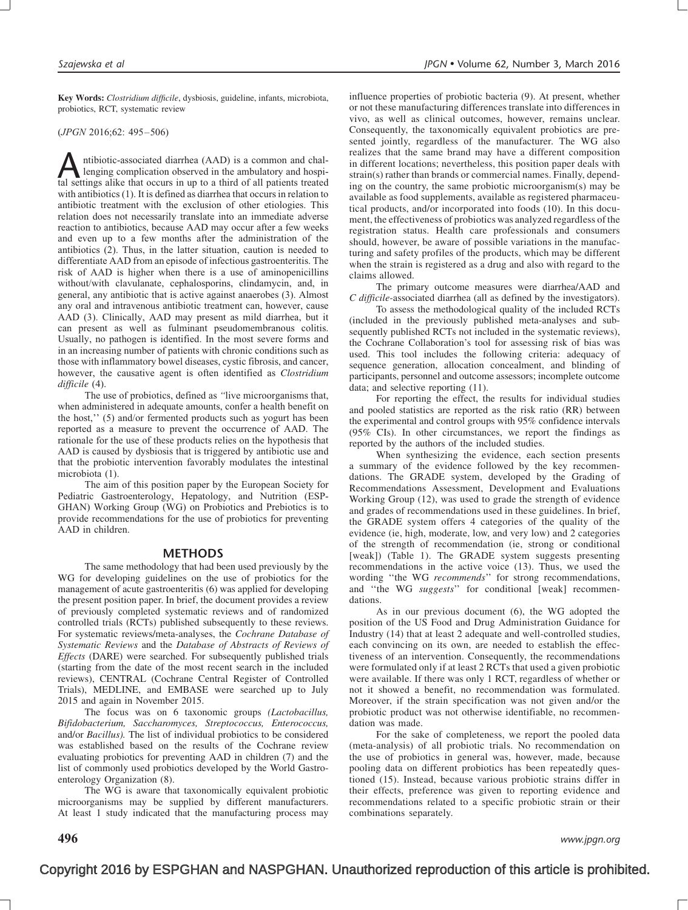Key Words: Clostridium difficile, dysbiosis, guideline, infants, microbiota, probiotics, RCT, systematic review

#### (JPGN 2016;62: 495–506)

Antibiotic-associated diarrhea (AAD) is a common and challenging complication observed in the ambulatory and hospital settings alike that occurs in up to a third of all patients treated lenging complication observed in the ambulatory and hospital settings alike that occurs in up to a third of all patients treated with antibiotics [\(1\).](#page-10-0) It is defined as diarrhea that occurs in relation to antibiotic treatment with the exclusion of other etiologies. This relation does not necessarily translate into an immediate adverse reaction to antibiotics, because AAD may occur after a few weeks and even up to a few months after the administration of the antibiotics [\(2\).](#page-10-0) Thus, in the latter situation, caution is needed to differentiate AAD from an episode of infectious gastroenteritis. The risk of AAD is higher when there is a use of aminopenicillins without/with clavulanate, cephalosporins, clindamycin, and, in general, any antibiotic that is active against anaerobes [\(3\).](#page-10-0) Almost any oral and intravenous antibiotic treatment can, however, cause AAD [\(3\).](#page-10-0) Clinically, AAD may present as mild diarrhea, but it can present as well as fulminant pseudomembranous colitis. Usually, no pathogen is identified. In the most severe forms and in an increasing number of patients with chronic conditions such as those with inflammatory bowel diseases, cystic fibrosis, and cancer, however, the causative agent is often identified as Clostridium difficile [\(4\)](#page-10-0).

The use of probiotics, defined as ''live microorganisms that, when administered in adequate amounts, confer a health benefit on the host,'' [\(5\)](#page-10-0) and/or fermented products such as yogurt has been reported as a measure to prevent the occurrence of AAD. The rationale for the use of these products relies on the hypothesis that AAD is caused by dysbiosis that is triggered by antibiotic use and that the probiotic intervention favorably modulates the intestinal microbiota [\(1\).](#page-10-0)

The aim of this position paper by the European Society for Pediatric Gastroenterology, Hepatology, and Nutrition (ESP-GHAN) Working Group (WG) on Probiotics and Prebiotics is to provide recommendations for the use of probiotics for preventing AAD in children.

#### **METHODS**

The same methodology that had been used previously by the WG for developing guidelines on the use of probiotics for the management of acute gastroenteritis [\(6\)](#page-10-0) was applied for developing the present position paper. In brief, the document provides a review of previously completed systematic reviews and of randomized controlled trials (RCTs) published subsequently to these reviews. For systematic reviews/meta-analyses, the Cochrane Database of Systematic Reviews and the Database of Abstracts of Reviews of Effects (DARE) were searched. For subsequently published trials (starting from the date of the most recent search in the included reviews), CENTRAL (Cochrane Central Register of Controlled Trials), MEDLINE, and EMBASE were searched up to July 2015 and again in November 2015.

The focus was on 6 taxonomic groups (Lactobacillus, Bifidobacterium, Saccharomyces, Streptococcus, Enterococcus, and/or Bacillus). The list of individual probiotics to be considered was established based on the results of the Cochrane review evaluating probiotics for preventing AAD in children [\(7\)](#page-10-0) and the list of commonly used probiotics developed by the World Gastroenterology Organization [\(8\).](#page-10-0)

The WG is aware that taxonomically equivalent probiotic microorganisms may be supplied by different manufacturers. At least 1 study indicated that the manufacturing process may

influence properties of probiotic bacteria [\(9\)](#page-10-0). At present, whether or not these manufacturing differences translate into differences in vivo, as well as clinical outcomes, however, remains unclear. Consequently, the taxonomically equivalent probiotics are presented jointly, regardless of the manufacturer. The WG also realizes that the same brand may have a different composition in different locations; nevertheless, this position paper deals with strain(s) rather than brands or commercial names. Finally, depending on the country, the same probiotic microorganism(s) may be available as food supplements, available as registered pharmaceutical products, and/or incorporated into foods [\(10\).](#page-10-0) In this document, the effectiveness of probiotics was analyzed regardless of the registration status. Health care professionals and consumers should, however, be aware of possible variations in the manufacturing and safety profiles of the products, which may be different when the strain is registered as a drug and also with regard to the claims allowed.

The primary outcome measures were diarrhea/AAD and C difficile-associated diarrhea (all as defined by the investigators).

To assess the methodological quality of the included RCTs (included in the previously published meta-analyses and subsequently published RCTs not included in the systematic reviews), the Cochrane Collaboration's tool for assessing risk of bias was used. This tool includes the following criteria: adequacy of sequence generation, allocation concealment, and blinding of participants, personnel and outcome assessors; incomplete outcome data; and selective reporting [\(11\)](#page-10-0).

For reporting the effect, the results for individual studies and pooled statistics are reported as the risk ratio (RR) between the experimental and control groups with 95% confidence intervals (95% CIs). In other circumstances, we report the findings as reported by the authors of the included studies.

When synthesizing the evidence, each section presents a summary of the evidence followed by the key recommendations. The GRADE system, developed by the Grading of Recommendations Assessment, Development and Evaluations Working Group [\(12\),](#page-10-0) was used to grade the strength of evidence and grades of recommendations used in these guidelines. In brief, the GRADE system offers 4 categories of the quality of the evidence (ie, high, moderate, low, and very low) and 2 categories of the strength of recommendation (ie, strong or conditional [weak]) ([Table 1](#page-2-0)). The GRADE system suggests presenting recommendations in the active voice [\(13\).](#page-10-0) Thus, we used the wording "the WG *recommends*" for strong recommendations, and "the WG *suggests*" for conditional [weak] recommendations.

As in our previous document [\(6\),](#page-10-0) the WG adopted the position of the US Food and Drug Administration Guidance for Industry [\(14\)](#page-10-0) that at least 2 adequate and well-controlled studies, each convincing on its own, are needed to establish the effectiveness of an intervention. Consequently, the recommendations were formulated only if at least 2 RCTs that used a given probiotic were available. If there was only 1 RCT, regardless of whether or not it showed a benefit, no recommendation was formulated. Moreover, if the strain specification was not given and/or the probiotic product was not otherwise identifiable, no recommendation was made.

For the sake of completeness, we report the pooled data (meta-analysis) of all probiotic trials. No recommendation on the use of probiotics in general was, however, made, because pooling data on different probiotics has been repeatedly questioned [\(15\).](#page-10-0) Instead, because various probiotic strains differ in their effects, preference was given to reporting evidence and recommendations related to a specific probiotic strain or their combinations separately.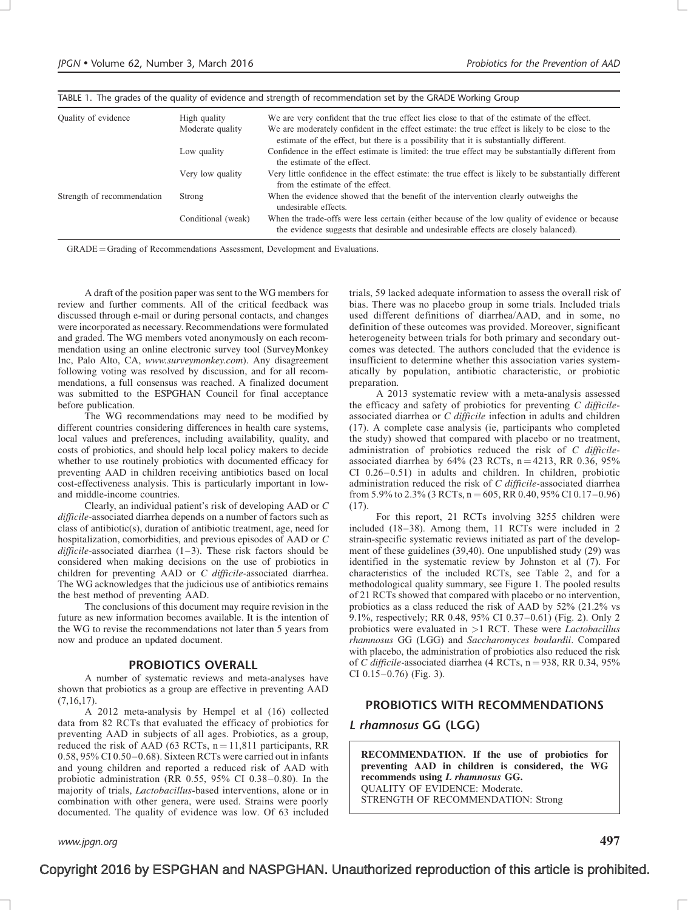|                            |                    | molecule in the grades of the gaanty of evidence and strength of recommendation set by the Group L Woming Group                                                                            |
|----------------------------|--------------------|--------------------------------------------------------------------------------------------------------------------------------------------------------------------------------------------|
| Quality of evidence        | High quality       | We are very confident that the true effect lies close to that of the estimate of the effect.                                                                                               |
|                            | Moderate quality   | We are moderately confident in the effect estimate: the true effect is likely to be close to the<br>estimate of the effect, but there is a possibility that it is substantially different. |
|                            | Low quality        | Confidence in the effect estimate is limited: the true effect may be substantially different from<br>the estimate of the effect.                                                           |
|                            | Very low quality   | Very little confidence in the effect estimate: the true effect is likely to be substantially different<br>from the estimate of the effect.                                                 |
| Strength of recommendation | Strong             | When the evidence showed that the benefit of the intervention clearly outweighs the<br>undesirable effects.                                                                                |
|                            | Conditional (weak) | When the trade-offs were less certain (either because of the low quality of evidence or because<br>the evidence suggests that desirable and undesirable effects are closely balanced).     |

<span id="page-2-0"></span>TABLE 1. The grades of the quality of evidence and strength of recommendation set by the GRADE Working Group

GRADE = Grading of Recommendations Assessment, Development and Evaluations.

A draft of the position paper was sent to the WG members for review and further comments. All of the critical feedback was discussed through e-mail or during personal contacts, and changes were incorporated as necessary. Recommendations were formulated and graded. The WG members voted anonymously on each recommendation using an online electronic survey tool (SurveyMonkey Inc, Palo Alto, CA, www.surveymonkey.com). Any disagreement following voting was resolved by discussion, and for all recommendations, a full consensus was reached. A finalized document was submitted to the ESPGHAN Council for final acceptance before publication.

The WG recommendations may need to be modified by different countries considering differences in health care systems, local values and preferences, including availability, quality, and costs of probiotics, and should help local policy makers to decide whether to use routinely probiotics with documented efficacy for preventing AAD in children receiving antibiotics based on local cost-effectiveness analysis. This is particularly important in lowand middle-income countries.

Clearly, an individual patient's risk of developing AAD or C difficile-associated diarrhea depends on a number of factors such as class of antibiotic(s), duration of antibiotic treatment, age, need for hospitalization, comorbidities, and previous episodes of AAD or C difficile-associated diarrhea  $(1-3)$ . These risk factors should be considered when making decisions on the use of probiotics in children for preventing AAD or C difficile-associated diarrhea. The WG acknowledges that the judicious use of antibiotics remains the best method of preventing AAD.

The conclusions of this document may require revision in the future as new information becomes available. It is the intention of the WG to revise the recommendations not later than 5 years from now and produce an updated document.

#### PROBIOTICS OVERALL

A number of systematic reviews and meta-analyses have shown that probiotics as a group are effective in preventing AAD  $(7,16,17)$ .

A 2012 meta-analysis by Hempel et al [\(16\)](#page-10-0) collected data from 82 RCTs that evaluated the efficacy of probiotics for preventing AAD in subjects of all ages. Probiotics, as a group, reduced the risk of AAD (63 RCTs,  $n = 11,811$  participants, RR 0.58, 95% CI 0.50–0.68). Sixteen RCTs were carried out in infants and young children and reported a reduced risk of AAD with probiotic administration (RR 0.55, 95% CI 0.38–0.80). In the majority of trials, Lactobacillus-based interventions, alone or in combination with other genera, were used. Strains were poorly documented. The quality of evidence was low. Of 63 included trials, 59 lacked adequate information to assess the overall risk of bias. There was no placebo group in some trials. Included trials used different definitions of diarrhea/AAD, and in some, no definition of these outcomes was provided. Moreover, significant heterogeneity between trials for both primary and secondary outcomes was detected. The authors concluded that the evidence is insufficient to determine whether this association varies systematically by population, antibiotic characteristic, or probiotic preparation.

A 2013 systematic review with a meta-analysis assessed the efficacy and safety of probiotics for preventing  $C$  difficileassociated diarrhea or C difficile infection in adults and children [\(17\).](#page-10-0) A complete case analysis (ie, participants who completed the study) showed that compared with placebo or no treatment, administration of probiotics reduced the risk of C difficileassociated diarrhea by  $64\%$  (23 RCTs, n = 4213, RR 0.36, 95% CI 0.26–0.51) in adults and children. In children, probiotic administration reduced the risk of C difficile-associated diarrhea from 5.9% to 2.3% (3 RCTs,  $n = 605$ , RR 0.40, 95% CI 0.17–0.96)  $(17)$ .

For this report, 21 RCTs involving 3255 children were included [\(18–38\).](#page-10-0) Among them, 11 RCTs were included in 2 strain-specific systematic reviews initiated as part of the development of these guidelines [\(39,40\)](#page-11-0). One unpublished study [\(29\)](#page-11-0) was identified in the systematic review by Johnston et al [\(7\)](#page-10-0). For characteristics of the included RCTs, see [Table 2,](#page-3-0) and for a methodological quality summary, see [Figure 1.](#page-6-0) The pooled results of 21 RCTs showed that compared with placebo or no intervention, probiotics as a class reduced the risk of AAD by 52% (21.2% vs 9.1%, respectively; RR 0.48, 95% CI 0.37–0.61) [\(Fig. 2](#page-7-0)). Only 2 probiotics were evaluated in  $>1$  RCT. These were *Lactobacillus* rhamnosus GG (LGG) and Saccharomyces boulardii. Compared with placebo, the administration of probiotics also reduced the risk of C difficile-associated diarrhea (4 RCTs,  $n = 938$ , RR 0.34, 95% CI 0.15–0.76) ([Fig. 3](#page-9-0)).

#### PROBIOTICS WITH RECOMMENDATIONS

#### L rhamnosus GG (LGG)

RECOMMENDATION. If the use of probiotics for preventing AAD in children is considered, the WG recommends using L rhamnosus GG. QUALITY OF EVIDENCE: Moderate. STRENGTH OF RECOMMENDATION: Strong

www.jpgn.org  $497$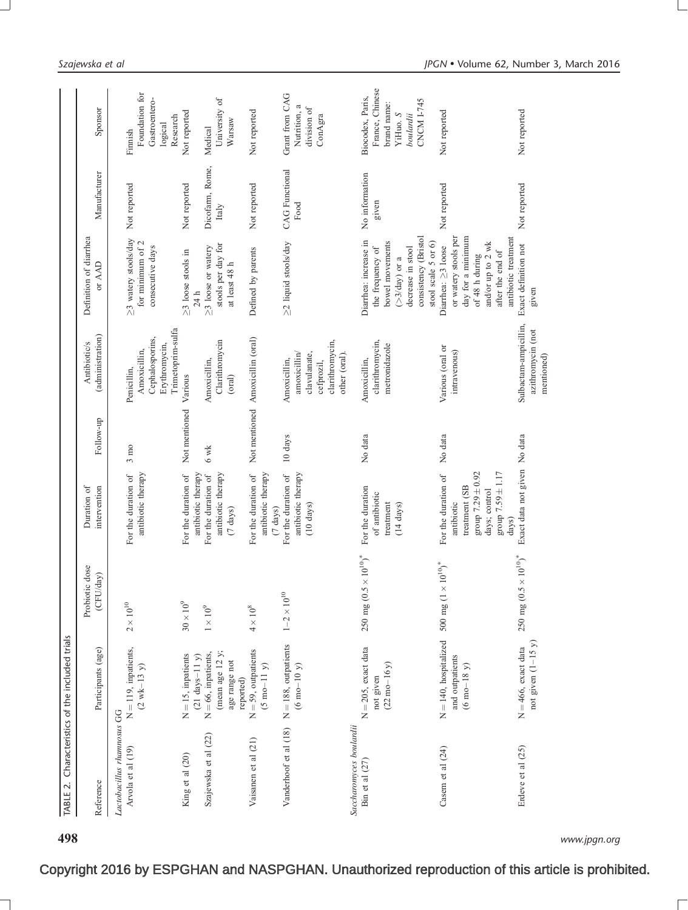|                                                 |                                                                             | dose<br>Probiotic                    | Duration of                                                                                                                    |                | Antibiotic/s                                                                                   | Definition of diarrhea                                                                                                                                   |                          |                                                                                           |
|-------------------------------------------------|-----------------------------------------------------------------------------|--------------------------------------|--------------------------------------------------------------------------------------------------------------------------------|----------------|------------------------------------------------------------------------------------------------|----------------------------------------------------------------------------------------------------------------------------------------------------------|--------------------------|-------------------------------------------------------------------------------------------|
| Reference                                       | Participants (age)                                                          | (CFU/day)                            | intervention                                                                                                                   | Follow-up      | (administration)                                                                               | or AAD                                                                                                                                                   | Manufacturer             | Sponsor                                                                                   |
| Lactobacillus rhannosus GG<br>Arvola et al (19) | $N = 119$ , inpatients,<br>$(2 \text{ wk-13 y})$                            | $\times10^{10}$<br>$\sim$            | antibiotic therapy<br>For the duration of                                                                                      | $3 \text{ mo}$ | Cephalosporins,<br>Amoxicillin,<br>Penicillin,                                                 | ≥3 watery stools/day<br>for minimum of 2<br>consecutive days                                                                                             | Not reported             | Foundation for<br>Gastroentero-<br>Finnish                                                |
|                                                 |                                                                             |                                      |                                                                                                                                |                | Trimetoprim-sulfa<br>Erythromycin,                                                             |                                                                                                                                                          |                          | Research<br>logical                                                                       |
| King et al (20)                                 | $N = 15$ , inpatients<br>$(21 \text{ days} - 11 \text{ y})$                 | $30\times10^9$                       | antibiotic therapy<br>For the duration of                                                                                      | Not mentioned  | Various                                                                                        | $\geq$ 1 loose stools in<br>24 h                                                                                                                         | Not reported             | Not reported                                                                              |
| Szajewska et al (22)                            | (mean age 12 y;<br>$N = 66$ , inpatients,<br>age range not<br>reported)     | $1\times10^9$                        | antibiotic therapy<br>For the duration of<br>$(7 \;{\rm days})$                                                                | $6$ wk         | Clarithromycin<br>Amoxicillin,<br>(oral)                                                       | stools per day for<br>$\geq$ 3 loose or watery<br>at least 48 h                                                                                          | Dicofarm, Rome,<br>Italy | University of<br>Warsaw<br>Medical                                                        |
| Vaisanen et al (21)                             | $N = 59$ , outpatients<br>$(5 \text{ mo}-11 \text{ y})$                     | $4\times10^8$                        | antibiotic therapy<br>For the duration of<br>$(7 \text{ days})$                                                                |                | Not mentioned Amoxicillin (oral)                                                               | Defined by parents                                                                                                                                       | Not reported             | Not reported                                                                              |
| Vanderhoof et al (18)                           | $N = 188$ , outpatients<br>$(6 \text{ mo} - 10 \text{ y})$                  | $1\!-\!2\times10^{10}$               | antibiotic therapy<br>For the duration of<br>$(10 \text{ days})$                                                               | 10 days        | clarithromycin,<br>amoxicillin/<br>clavulanate,<br>other (oral).<br>Amoxicillin,<br>cefprozil, | >2 liquid stools/day                                                                                                                                     | CAG Functional<br>Food   | Grant from CAG<br>Nutrition, a<br>division of<br>ConAgra                                  |
| Saccharomyces boulardii<br>Bin et al $(27)$     | N=205, exact data<br>$(22 \text{ mo} - 16 \text{ y})$<br>not given          | $250~{\rm mg}~(0.5\times 10^{10})^*$ | For the duration<br>of antibiotic<br>treatment<br>$(14 \text{ days})$                                                          | No data        | clarithromycin,<br>metronidazole<br>Amoxicillin,                                               | consistency (Bristol<br>Diarrhea: increase in<br>bowel movements<br>stool scale 5 or 6)<br>the frequency of<br>decrease in stool<br>$($ math3 /day) or a | No information<br>given  | France, Chinese<br>Biocodex, Paris,<br>CNCM I-745<br>brand name:<br>YiHuo. S<br>boulardii |
| Casem et al $(24)$                              | N = 140, hospitalized<br>and outpatients<br>$(6 \text{ mo} - 18 \text{ y})$ | $10^{10}$<br>500 mg (1 $\times$      | group $7.29 \pm 0.92$<br>group 7.59 $\pm$ 1.17<br>For the duration of<br>treatment (SB<br>days; control<br>antibiotic<br>days) | No data        | Various (oral or<br>intravenous)                                                               | or watery stools per<br>antibiotic treatment<br>day for a minimum<br>and/or up to 2 wk<br>Diarrhea: 23 loose<br>after the end of<br>of 48 h during       | Not reported             | Not reported                                                                              |
| Erdeve et al (25)                               | not given $(1-15 y)$<br>N=466, exact data                                   | $250~{\rm mg}~(0.5\times 10^{10})^*$ | Exact data not given No data                                                                                                   |                | Sulbactam-ampicillin,<br>azithromycin (not<br>mentioned)                                       | Exact definition not<br>given                                                                                                                            | Not reported             | Not reported                                                                              |

<span id="page-3-0"></span>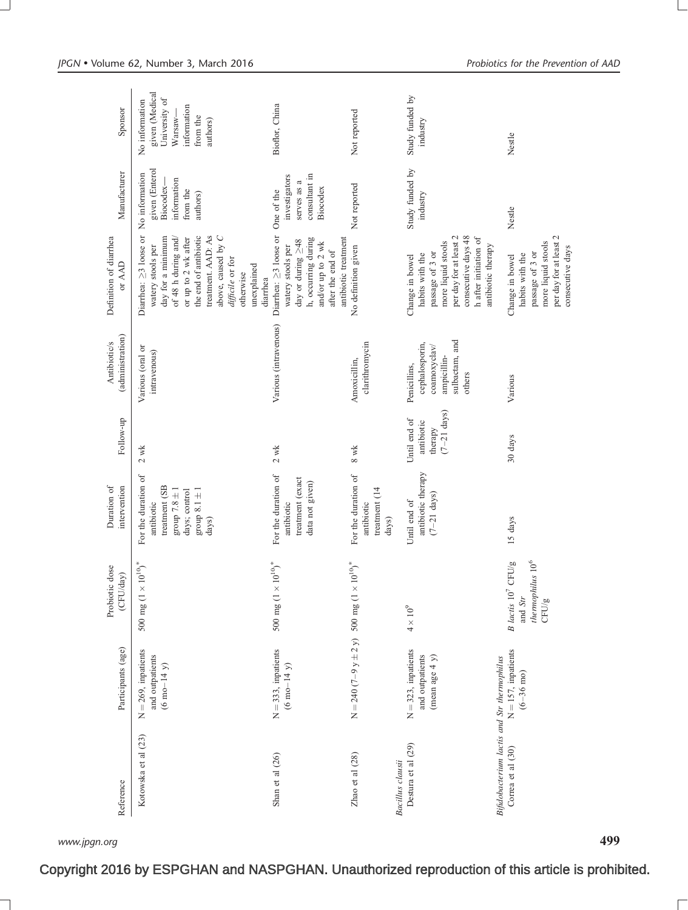| Sponsor                          | given (Medical<br>University of<br>No information<br>information<br>from the<br>Warsaw-<br>authors)                                                                                                                                            | Bioflor, China                                                                                                                                                          | Not reported                                                | Study funded by<br>industry                                                                                                                                                 | Nestle                                                                                                                    |
|----------------------------------|------------------------------------------------------------------------------------------------------------------------------------------------------------------------------------------------------------------------------------------------|-------------------------------------------------------------------------------------------------------------------------------------------------------------------------|-------------------------------------------------------------|-----------------------------------------------------------------------------------------------------------------------------------------------------------------------------|---------------------------------------------------------------------------------------------------------------------------|
| Manufacturer                     | given (Enterol<br>No information<br>information<br>Biocodex-<br>from the<br>authors)                                                                                                                                                           | consultant in<br>investigators<br>serves as a<br>Biocodex<br>One of the                                                                                                 | Not reported                                                | Study funded by<br>industry                                                                                                                                                 | Nestle                                                                                                                    |
| Definition of diarrhea<br>or AAD | Diarrhea: ≥3 loose or<br>treatment. AAD: As<br>the end of antibiotic<br>above, caused by C<br>day for a minimum<br>of 48 h during and/<br>or up to 2 wk after<br>watery stools per<br>difficile or for<br>unexplained<br>otherwise<br>diarrhea | Diarrhea: $\geq$ 3 loose or<br>antibiotic treatment<br>h, occurring during<br>day or during $\geq 48$<br>and/or up to $2\,$ wk<br>watery stools per<br>after the end of | No definition given                                         | consecutive days 48<br>h after initiation of<br>per day for at least 2<br>more liquid stools<br>antibiotic therapy<br>passage of 3 or<br>habits with the<br>Change in bowel | per day for at least 2<br>more liquid stools<br>consecutive days<br>passage of 3 or<br>habits with the<br>Change in bowel |
| (administration)<br>Antibiotic/s | Various (oral or<br>intravenous)                                                                                                                                                                                                               | Various (intravenous)                                                                                                                                                   | clarithromycin<br>Amoxicillin,                              | sulbactam, and<br>cephalosporin,<br>coamoxyclav/<br>ampicillin-<br>Penicillins,<br>others                                                                                   | Various                                                                                                                   |
| Follow-up                        | $2$ wk                                                                                                                                                                                                                                         | $2$ wk                                                                                                                                                                  | 8 wk                                                        | $(7-21 \text{ days})$<br>Until end of<br>antibiotic<br>therapy                                                                                                              | 30 days                                                                                                                   |
| Duration of<br>intervention      | For the duration of<br>treatment (SB<br>group $7.8 \pm 1$<br>group $8.1 \pm 1$<br>days; control<br>antibiotic<br>days)                                                                                                                         | For the duration of<br>treatment (exact<br>data not given)<br>antibiotic                                                                                                | For the duration of<br>treatment (14<br>antibiotic<br>days) | antibiotic therapy<br>$(7-21 \text{ days})$<br>Until end of                                                                                                                 | 15 days                                                                                                                   |
| Probiotic dose<br>(CFU/day)      | $(10^{10})^*$<br>$500 \mathrm{mg}$ (1                                                                                                                                                                                                          | $10^{10}\text{)}^*$<br>×<br>$500$ mg (1 $\,$                                                                                                                            | $10^{10}$ <sup>*</sup><br>$\times$<br>$500$ mg (1 $\,$      | $4\times10^9$                                                                                                                                                               | CFU/g<br>thermophilus 10 <sup>6</sup><br>$B$ lactis $10^7$<br>and Str<br>CFU/g                                            |
| Participants (age)               | $N = 269$ , inpatients<br>and outpatients<br>$(6 \text{ mo} - 14 \text{ y})$                                                                                                                                                                   | $N = 333$ , inpatients<br>$(6 \text{ mo} - 14 \text{ y})$                                                                                                               | $N = 240 (7 - 9 y \pm 2 y)$                                 | $N = 323$ , inpatients<br>and outpatients<br>(mean age $4 y$ )                                                                                                              | $N = 157$ , inpatients<br>$(6 - 36$ mo)                                                                                   |
| Reference                        | Kotowska et al (23)                                                                                                                                                                                                                            | Shan et al (26)                                                                                                                                                         | Zhao et al (28)                                             | Destura et al (29)<br>Bacillus clausii                                                                                                                                      | Bifdobacterium lactis and Str thermophilus<br>Correa et al (30)                                                           |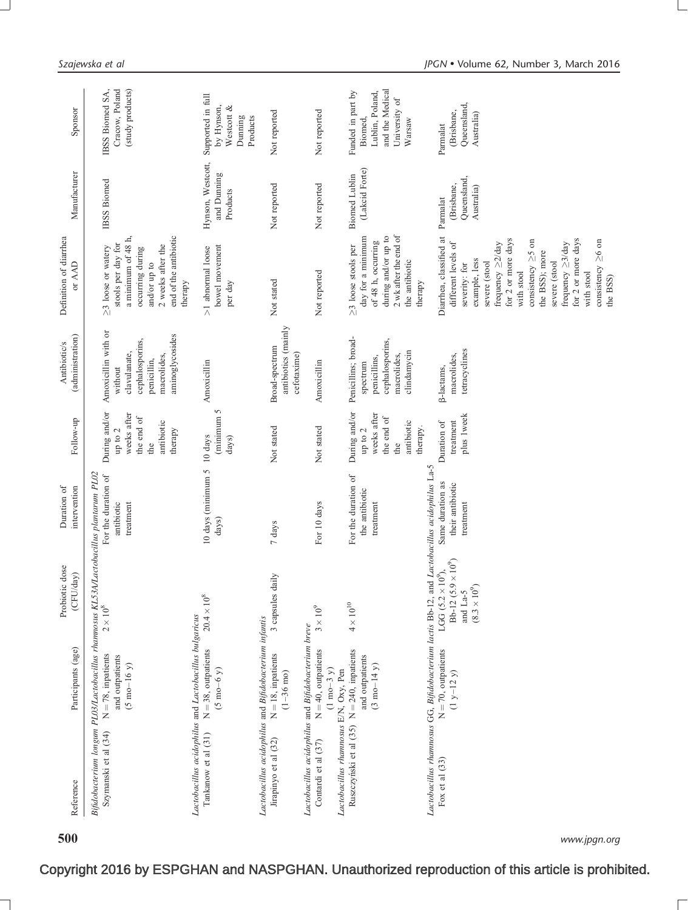| Reference                                                                                                           | Participants (age)                                                          | Probiotic dose<br>(CFU/day)                                                                 | Duration of<br>intervention                                                         | Follow-up                                                                                 | (administration)<br>Antibiotic/s                                                                                   | Definition of diarrhea<br>or AAD                                                                                                                                                                                                                                  | Manufacturer                                        | Sponsor                                                                                       |
|---------------------------------------------------------------------------------------------------------------------|-----------------------------------------------------------------------------|---------------------------------------------------------------------------------------------|-------------------------------------------------------------------------------------|-------------------------------------------------------------------------------------------|--------------------------------------------------------------------------------------------------------------------|-------------------------------------------------------------------------------------------------------------------------------------------------------------------------------------------------------------------------------------------------------------------|-----------------------------------------------------|-----------------------------------------------------------------------------------------------|
| Bifidobacterium longum PLO3/Lactobacillus rhamnosus KL53A/I<br>Szymanski et al (34)                                 | $N = 78$ , inpatients<br>and outpatients<br>$(5 \text{ mo} - 16 \text{ y})$ | $2\times10^8$                                                                               | Lactobacillus plantarum PL02<br>For the duration of<br>treatment<br>antibiotic      | During and/or<br>weeks after<br>the end of<br>antibiotic<br>up to $2\,$<br>therapy<br>the | Amoxicillin with or<br>aminoglycosides<br>cephalosporins,<br>clavulanate,<br>macrolides,<br>penicillin,<br>without | end of the antibiotic<br>a minimum of $48 h$ ,<br>stools per day for<br>2 weeks after the<br>$\geq$ 3 loose or watery<br>occurring during<br>and/or up to<br>therapy                                                                                              | <b>IBSS Biomed</b>                                  | (study products)<br>Cracow, Poland<br>IBSS Biomed SA,                                         |
| Lactobacillus acidophilus and Lactobacillus bulgaricus<br>Tankanow et al (31)                                       | $N = 38$ , outpatients<br>$(5 \text{ mo}-6 \text{ y})$                      | $20.4\times10^8$                                                                            | 10 days (minimum 5<br>days)                                                         | minimum 5<br>10 days<br>days)                                                             | Amoxicillin                                                                                                        | bowel movement<br>>1 abnormal loose<br>per day                                                                                                                                                                                                                    | Hynson, Westcott,<br>and Dunning<br>Products        | Supported in full<br>by Hynson,<br>Westcott &<br>Dunning<br>Products                          |
| Lactobacillus acidophilus and Bifidobacterium infantis<br>Jirapinyo et al (32)                                      | $N = 18$ , inpatients<br>$(1-36 \text{ mo})$                                | 3 capsules daily                                                                            | $7~{\rm days}$                                                                      | Not stated                                                                                | antibiotics (mainly<br>Broad-spectrum<br>cefotaxime)                                                               | Not stated                                                                                                                                                                                                                                                        | Not reported                                        | Not reported                                                                                  |
| Lactobacillus acidophilus and Bifidobacterium breve<br>Lactobacillus rhanmosus E/N, Oxy, Pen<br>Contardi et al (37) | $N = 40$ , outpatients<br>$(1 \text{ mo} - 3 \text{ y})$                    | $3\times10^9$                                                                               | For 10 days                                                                         | Not stated                                                                                | Amoxicillin                                                                                                        | Not reported                                                                                                                                                                                                                                                      | Not reported                                        | Not reported                                                                                  |
| Ruszczyński et al (35) $N = 240$ , inpatients                                                                       | and outpatients<br>$(3 \text{ mo} - 14 \text{ y})$                          | $\times\,10^{10}$<br>4                                                                      | For the duration of<br>the antibiotic<br>treatment                                  | During and/or<br>weeks after<br>the end of<br>antibiotic<br>therapy.<br>up to 2<br>the    | Penicillins; broad-<br>cephalosporins,<br>clindamycin<br>macrolides,<br>penicillins,<br>spectrum                   | 2 wk after the end of<br>during and/or up to<br>day for a minimum<br>of 48 h, occurring<br>>3 loose stools per<br>the antibiotic<br>therapy                                                                                                                       | (Lakcid Forte)<br><b>Biomed Lublin</b>              | and the Medical<br>Funded in part by<br>Lublin, Poland,<br>University of<br>Biomed,<br>Warsaw |
| Lactobacillus rhamnosus GG, Bifidobacterium lactis Bb-12, and<br>Fox et al $(33)$                                   | $N = 70$ , outpatients<br>$(1 y-12 y)$                                      | LGG $(5.2 \times 10^9)$ ,<br>Bb-12 $(5.9 \times 10^9)$<br>$(8.3 \times 10^{9})$<br>and La-5 | Lactobacillus acidophilus La-5<br>Same duration as<br>their antibiotic<br>treatment | plus 1 week<br>Duration of<br>treatment                                                   | tetracyclines<br>macrolides,<br>β-lactams,                                                                         | Diarrhea, classified at<br>for 2 or more days<br>for 2 or more days<br>consistency $\geq$ 5 on<br>different levels of<br>frequency ≥2/day<br>frequency ≥3/day<br>the BSS); more<br>example, less<br>severe (stool<br>severe (stool<br>severity: for<br>with stool | Queensland,<br>(Brisbane,<br>Australia)<br>Parmalat | Queensland,<br>(Brisbane,<br>Australia)<br>Parmalat                                           |
|                                                                                                                     |                                                                             |                                                                                             |                                                                                     |                                                                                           |                                                                                                                    | consistency $\geq 6$ on<br>with stool<br>the BSS)                                                                                                                                                                                                                 |                                                     |                                                                                               |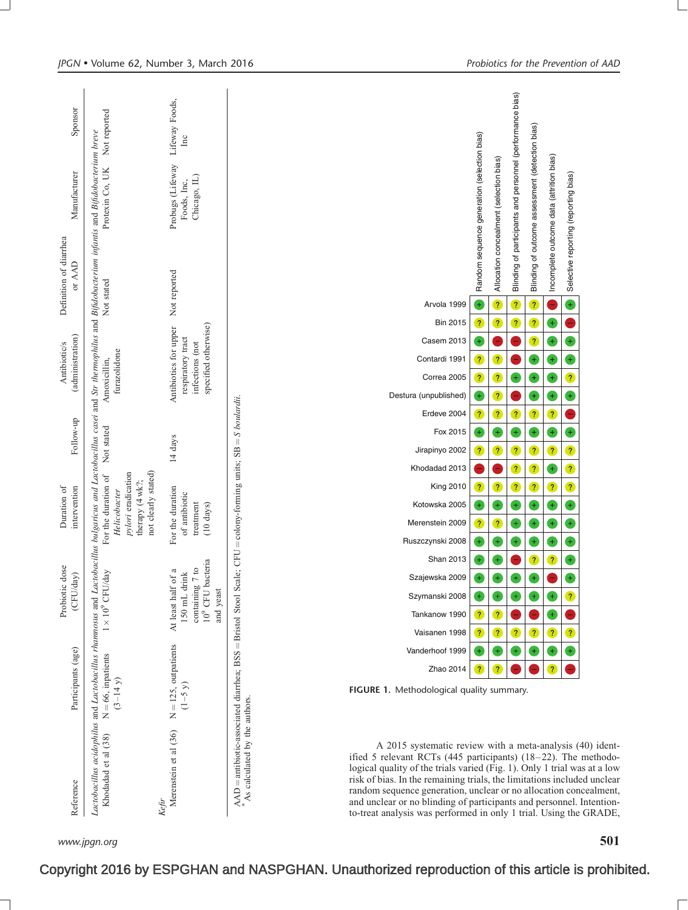<span id="page-6-0"></span>

| Lacrobacillus acidophilus and Lacrobacillus rhannosus and Lacrobacillus bulgaricus and Lacrobacillus casei and Str thermophilus and Bifidobacterium infantis and Bifidobacterium breve<br>AAD = antibiotic-associated diarrhea; BSS = Bristol Stool Scale; CFU = colony-forming units; SB = S boulardii.<br>$10^9$ CFU bacteria<br>7 to<br>At least half of a<br>$1\times10^9$ CFU/day<br>150 mL drink<br>containing<br>and yeast<br>N = 125, outpatients<br>$N = 66$ , inpatients<br>$(3 - 14y)$<br>$(1 - 5 y)$<br>As calculated by the authors.<br>Merenstein et al (36)<br>Khodadad et al (38)<br>risk of bias. In the remaining trials, the limitations included unclear<br>random sequence generation, unclear or no allocation concealment, | not clearly stated)<br>pylori eradication<br>For the duration of<br>therapy (4 wk?;<br>For the duration<br>Helicobacter<br>of antibiotic<br>treatment<br>$(10 \text{ days})$ | Not stated<br>14 days                      |                                      | specified otherwise)<br>Antibiotics for upper<br>respiratory tract<br>infections (not<br>furazolidone<br>Amoxicillin, |            |                            | Not reported<br>Not stated | Probugs (Lifeway<br>Protexin Co, UK<br>Chicago, IL)<br>Foods, Inc, | Lifeway Foods,<br>Not reported<br>Inc |
|---------------------------------------------------------------------------------------------------------------------------------------------------------------------------------------------------------------------------------------------------------------------------------------------------------------------------------------------------------------------------------------------------------------------------------------------------------------------------------------------------------------------------------------------------------------------------------------------------------------------------------------------------------------------------------------------------------------------------------------------------|------------------------------------------------------------------------------------------------------------------------------------------------------------------------------|--------------------------------------------|--------------------------------------|-----------------------------------------------------------------------------------------------------------------------|------------|----------------------------|----------------------------|--------------------------------------------------------------------|---------------------------------------|
|                                                                                                                                                                                                                                                                                                                                                                                                                                                                                                                                                                                                                                                                                                                                                   |                                                                                                                                                                              |                                            |                                      |                                                                                                                       |            |                            |                            |                                                                    |                                       |
|                                                                                                                                                                                                                                                                                                                                                                                                                                                                                                                                                                                                                                                                                                                                                   |                                                                                                                                                                              |                                            |                                      |                                                                                                                       |            |                            |                            |                                                                    |                                       |
| Ruszczynski 2008<br>Shan 2013<br>Szajewska 2009<br>Szymanski 2008<br>Tankanow 1990<br>Vaisanen 1998<br>Vanderhoof 1999<br>Zhao 2014<br>FIGURE 1. Methodological quality summary.<br>A 2015 systematic review with a meta-analysis (40) ident-<br>ified 5 relevant RCTs (445 participants) (18-22). The methodo-<br>logical quality of the trials varied (Fig. 1). Only 1 trial was at a low                                                                                                                                                                                                                                                                                                                                                       | Khodadad 2013<br><b>King 2010</b><br>Kotowska 2005<br>Merenstein 2009                                                                                                        | Fox 2015<br>Jirapinyo 2002                 | Destura (unpublished)<br>Erdeve 2004 | Contardi 1991<br>Correa 2005                                                                                          | Casem 2013 | Bin 2015                   | Arvola 1999                |                                                                    |                                       |
| $\scriptstyle +$<br>$\overline{?}$<br>$\overline{?}$<br>-?                                                                                                                                                                                                                                                                                                                                                                                                                                                                                                                                                                                                                                                                                        | $\boldsymbol{\mathcal{P}}$<br>?                                                                                                                                              | ?<br>$\ddot{}$<br>?                        |                                      | $\boldsymbol{\mathcal{P}}$<br>$\overline{?}$                                                                          |            | $\boldsymbol{?}$           | $\pm$                      | Random sequence generation (selection bias)                        |                                       |
| $\ddot{}$<br>$\ddot{}$<br>$\overline{\mathbf{r}}$<br>$\sqrt{2}$<br>$\ddot{}$<br>$\overline{?}$                                                                                                                                                                                                                                                                                                                                                                                                                                                                                                                                                                                                                                                    | $\overline{\mathbf{r}}$<br>$\ddot{\phantom{1}}$<br>$\overline{?}$                                                                                                            | $\overline{?}$<br>$\ddot{}$<br>3           | $\boldsymbol{\mathcal{P}}$           | -?<br>$\sqrt{2}$                                                                                                      |            | $\overline{?}$             | $\boldsymbol{?}$           | Allocation concealment (selection bias)                            |                                       |
| ÷<br>÷<br>÷<br>$\boldsymbol{?}$<br>+                                                                                                                                                                                                                                                                                                                                                                                                                                                                                                                                                                                                                                                                                                              | ?<br>?<br>÷                                                                                                                                                                  | ?<br>÷<br>$\boldsymbol{?}$                 |                                      | ÷                                                                                                                     |            | $\boldsymbol{?}$           | $\boldsymbol{?}$           | Blinding of participants and personnel (performance bias)          |                                       |
| ÷<br>÷<br>$\overline{\mathbf{r}}$<br>$+$<br>$\boldsymbol{?}$                                                                                                                                                                                                                                                                                                                                                                                                                                                                                                                                                                                                                                                                                      | ?<br>?<br>÷                                                                                                                                                                  | ?<br>$\ddot{}$<br>$\overline{\mathcal{E}}$ |                                      | 4                                                                                                                     | ?          | $\boldsymbol{\mathcal{P}}$ | ?                          | Blinding of outcome assessment (detection bias)                    |                                       |
| $\boldsymbol{\mathcal{P}}$<br>?                                                                                                                                                                                                                                                                                                                                                                                                                                                                                                                                                                                                                                                                                                                   | ?                                                                                                                                                                            | ?                                          |                                      |                                                                                                                       |            |                            |                            | Incomplete outcome data (attrition bias)                           |                                       |
| $\ddot{}$<br>$\ddot{}$<br>?<br>$\overline{?}$                                                                                                                                                                                                                                                                                                                                                                                                                                                                                                                                                                                                                                                                                                     | $\overline{?}$<br>$\overline{\mathcal{L}}$<br>$\ddot{}$<br>$\ddot{}$                                                                                                         | $\ddot{}$<br>$\overline{\mathcal{E}}$      | $\ddot{}$                            | $\ddot{}$<br>$\overline{?}$                                                                                           | $\ddot{}$  |                            | $^{+}$                     | Selective reporting (reporting bias)                               |                                       |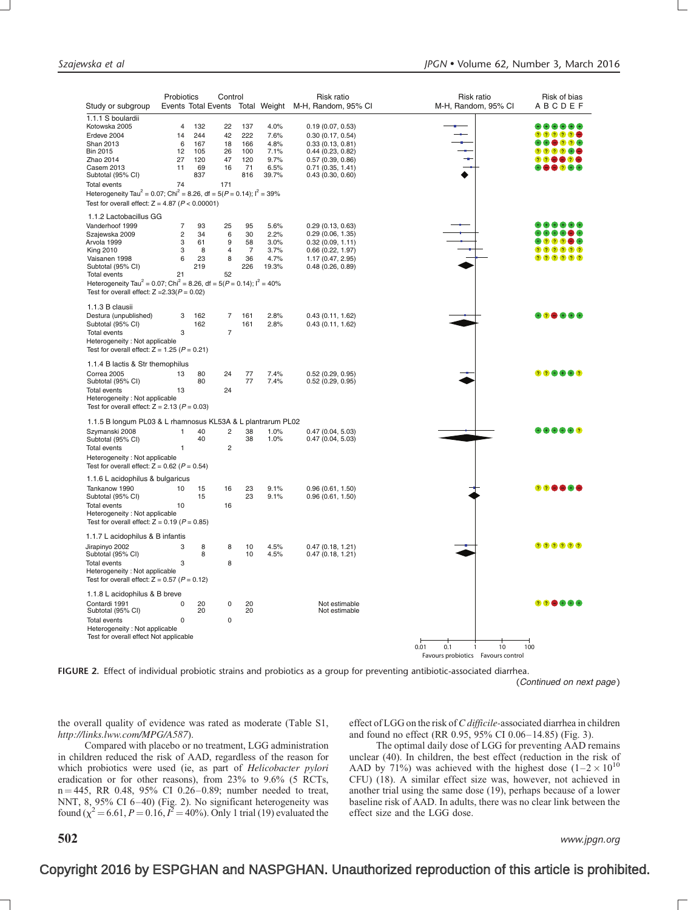<span id="page-7-0"></span>

|                                                                                                                                                                                                                                                                                                                                | Probiotics                                                 |                                              | Control                                 |                                              |                                                       | Risk ratio                                                                                                                               | Risk ratio                                                              | Risk of bias                          |
|--------------------------------------------------------------------------------------------------------------------------------------------------------------------------------------------------------------------------------------------------------------------------------------------------------------------------------|------------------------------------------------------------|----------------------------------------------|-----------------------------------------|----------------------------------------------|-------------------------------------------------------|------------------------------------------------------------------------------------------------------------------------------------------|-------------------------------------------------------------------------|---------------------------------------|
| Study or subgroup                                                                                                                                                                                                                                                                                                              | Events Total Events                                        |                                              |                                         |                                              | Total Weight                                          | M-H, Random, 95% Cl                                                                                                                      | M-H, Random, 95% CI                                                     | ABCDEF                                |
| 1.1.1 S boulardii<br>Kotowska 2005<br>Erdeve 2004<br>Shan 2013<br><b>Bin 2015</b><br>Zhao 2014<br>Casem 2013<br>Subtotal (95% CI)<br><b>Total events</b><br>Heterogeneity Tau <sup>2</sup> = 0.07; Chi <sup>2</sup> = 8.26, df = $5(P = 0.14)$ ; l <sup>2</sup> = 39%<br>Test for overall effect: $Z = 4.87$ ( $P < 0.00001$ ) | $\overline{\mathbf{4}}$<br>14<br>6<br>12<br>27<br>11<br>74 | 132<br>244<br>167<br>105<br>120<br>69<br>837 | 22<br>42<br>18<br>26<br>47<br>16<br>171 | 137<br>222<br>166<br>100<br>120<br>71<br>816 | 4.0%<br>7.6%<br>4.8%<br>7.1%<br>9.7%<br>6.5%<br>39.7% | 0.19(0.07, 0.53)<br>0.30(0.17, 0.54)<br>0.33(0.13, 0.81)<br>0.44(0.23, 0.82)<br>0.57(0.39, 0.86)<br>0.71(0.35, 1.41)<br>0.43(0.30, 0.60) |                                                                         | 222220<br>$2222 +$<br>22000200<br>-17 |
| 1.1.2 Lactobacillus GG<br>Vanderhoof 1999<br>Szajewska 2009                                                                                                                                                                                                                                                                    | 7<br>$\overline{\mathbf{c}}$                               | 93<br>34                                     | 25<br>6                                 | 95<br>30                                     | 5.6%<br>2.2%                                          | 0.29(0.13, 0.63)<br>0.29(0.06, 1.35)                                                                                                     |                                                                         | 18886                                 |
| Arvola 1999<br><b>King 2010</b><br>Vaisanen 1998<br>Subtotal (95% CI)<br>Total events<br>Heterogeneity Tau <sup>2</sup> = 0.07; Chi <sup>2</sup> = 8.26, df = $5(P = 0.14)$ ; $1^2 = 40\%$                                                                                                                                     | 3<br>3<br>6<br>21                                          | 61<br>8<br>23<br>219                         | 9<br>$\overline{4}$<br>8<br>52          | 58<br>$\overline{7}$<br>36<br>226            | 3.0%<br>3.7%<br>4.7%<br>19.3%                         | 0.32(0.09, 1.11)<br>0.66(0.22, 1.97)<br>1.17 (0.47, 2.95)<br>0.48(0.26, 0.89)                                                            |                                                                         | 202222<br>222222                      |
| Test for overall effect: $Z = 2.33(P = 0.02)$                                                                                                                                                                                                                                                                                  |                                                            |                                              |                                         |                                              |                                                       |                                                                                                                                          |                                                                         |                                       |
| 1.1.3 B clausii<br>Destura (unpublished)<br>Subtotal (95% CI)<br>Total events<br>Heterogeneity: Not applicable<br>Test for overall effect: $Z = 1.25$ ( $P = 0.21$ )                                                                                                                                                           | 3<br>3                                                     | 162<br>162                                   | 7<br>$\overline{7}$                     | 161<br>161                                   | 2.8%<br>2.8%                                          | 0.43(0.11, 1.62)<br>0.43(0.11, 1.62)                                                                                                     |                                                                         | 800 G G G                             |
| 1.1.4 B lactis & Str themophilus<br>Correa 2005<br>Subtotal (95% CI)<br><b>Total events</b><br>Heterogeneity: Not applicable<br>Test for overall effect: $Z = 2.13$ ( $P = 0.03$ )                                                                                                                                             | 13<br>13                                                   | 80<br>80                                     | 24<br>24                                | 77<br>77                                     | 7.4%<br>7.4%                                          | 0.52(0.29, 0.95)<br>0.52(0.29, 0.95)                                                                                                     |                                                                         | 0 0 0 0 0 <mark>0</mark>              |
| 1.1.5 B longum PL03 & L rhamnosus KL53A & L plantrarum PL02                                                                                                                                                                                                                                                                    |                                                            |                                              |                                         |                                              |                                                       |                                                                                                                                          |                                                                         |                                       |
| Szvmanski 2008<br>Subtotal (95% CI)<br>Total events<br>Heterogeneity : Not applicable                                                                                                                                                                                                                                          | $\mathbf{1}$<br>$\overline{1}$                             | 40<br>40                                     | $\overline{2}$<br>$\overline{c}$        | 38<br>38                                     | 1.0%<br>1.0%                                          | 0.47(0.04, 5.03)<br>0.47(0.04, 5.03)                                                                                                     |                                                                         |                                       |
| Test for overall effect: $Z = 0.62$ ( $P = 0.54$ )<br>1.1.6 L acidophilus & bulgaricus                                                                                                                                                                                                                                         |                                                            |                                              |                                         |                                              |                                                       |                                                                                                                                          |                                                                         |                                       |
| Tankanow 1990<br>Subtotal (95% CI)<br>Total events<br>Heterogeneity: Not applicable<br>Test for overall effect: $Z = 0.19$ ( $P = 0.85$ )                                                                                                                                                                                      | 10<br>10                                                   | 15<br>15                                     | 16<br>16                                | 23<br>23                                     | 9.1%<br>9.1%                                          | 0.96(0.61, 1.50)<br>0.96(0.61, 1.50)                                                                                                     |                                                                         | 0 0 0 0 0 C                           |
| 1.1.7 L acidophilus & B infantis<br>Jirapinyo 2002                                                                                                                                                                                                                                                                             | 3                                                          | 8                                            | 8                                       | 10                                           | 4.5%                                                  |                                                                                                                                          |                                                                         | 000000                                |
| Subtotal (95% CI)<br>Total events<br>Heterogeneity: Not applicable<br>Test for overall effect: $Z = 0.57$ ( $P = 0.12$ )                                                                                                                                                                                                       | 3                                                          | 8                                            | 8                                       | 10                                           | 4.5%                                                  | 0.47(0.18, 1.21)<br>0.47(0.18, 1.21)                                                                                                     |                                                                         |                                       |
| 1.1.8 L acidophilus & B breve<br>Contardi 1991<br>Subtotal (95% CI)<br><b>Total events</b><br>Heterogeneity : Not applicable<br>Test for overall effect Not applicable                                                                                                                                                         | 0<br>0                                                     | 20<br>20                                     | 0<br>0                                  | 20<br>20                                     |                                                       | Not estimable<br>Not estimable                                                                                                           |                                                                         |                                       |
|                                                                                                                                                                                                                                                                                                                                |                                                            |                                              |                                         |                                              |                                                       |                                                                                                                                          | 0.01<br>0.1<br>10<br>$\mathbf{1}$<br>Favours probiotics Favours control | 100                                   |

FIGURE 2. Effect of individual probiotic strains and probiotics as a group for preventing antibiotic-associated diarrhea.

(Continued on next page )

the overall quality of evidence was rated as moderate (Table S1, <http://links.lww.com/MPG/A587>).

Compared with placebo or no treatment, LGG administration in children reduced the risk of AAD, regardless of the reason for which probiotics were used (ie, as part of Helicobacter pylori eradication or for other reasons), from 23% to 9.6% (5 RCTs,  $n = 445$ , RR 0.48, 95% CI 0.26–0.89; number needed to treat, NNT, 8, 95% CI 6–40) (Fig. 2). No significant heterogeneity was found  $(\chi^2 = 6.61, P = 0.16, I^2 = 40\%)$ . Only 1 trial [\(19\)](#page-10-0) evaluated the

effect of LGG on the risk of C difficile-associated diarrhea in children and found no effect (RR 0.95, 95% CI 0.06–14.85) ([Fig. 3\)](#page-9-0).

The optimal daily dose of LGG for preventing AAD remains unclear [\(40\)](#page-11-0). In children, the best effect (reduction in the risk of AAD by 71%) was achieved with the highest dose  $(1-2 \times 10^{10}$ CFU) [\(18\).](#page-10-0) A similar effect size was, however, not achieved in another trial using the same dose [\(19\),](#page-10-0) perhaps because of a lower baseline risk of AAD. In adults, there was no clear link between the effect size and the LGG dose.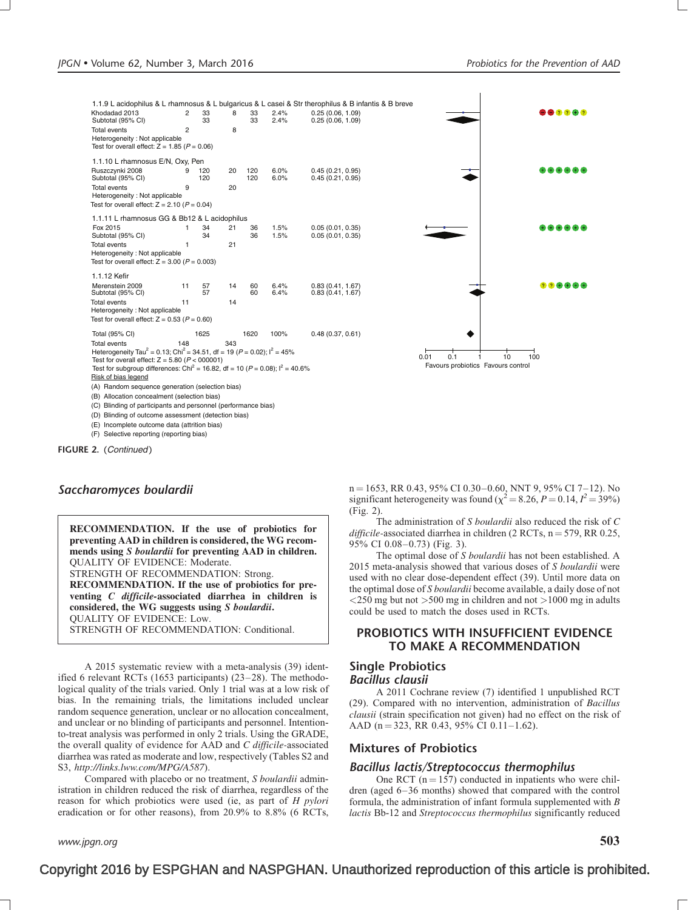|                                                                                                               |                |            |     |            |              | 1.1.9 L acidophilus & L rhamnosus & L bulgaricus & L casei & Str therophilus & B infantis & B breve |
|---------------------------------------------------------------------------------------------------------------|----------------|------------|-----|------------|--------------|-----------------------------------------------------------------------------------------------------|
| Khodadad 2013<br>Subtotal (95% CI)                                                                            | 2              | 33<br>33   | 8   | 33<br>33   | 2.4%<br>2.4% | 0.25(0.06, 1.09)<br>0.25(0.06, 1.09)                                                                |
| <b>Total events</b>                                                                                           | $\overline{2}$ |            | 8   |            |              |                                                                                                     |
| Heterogeneity: Not applicable<br>Test for overall effect: $Z = 1.85$ ( $P = 0.06$ )                           |                |            |     |            |              |                                                                                                     |
|                                                                                                               |                |            |     |            |              |                                                                                                     |
| 1.1.10 L rhamnosus E/N, Oxy, Pen                                                                              |                |            |     |            |              |                                                                                                     |
| Ruszczynki 2008<br>Subtotal (95% CI)                                                                          | 9              | 120<br>120 | 20  | 120<br>120 | 6.0%<br>6.0% | 0.45(0.21, 0.95)<br>0.45(0.21, 0.95)                                                                |
| <b>Total events</b>                                                                                           | 9              |            | 20  |            |              |                                                                                                     |
| Heterogeneity: Not applicable                                                                                 |                |            |     |            |              |                                                                                                     |
| Test for overall effect: $Z = 2.10$ ( $P = 0.04$ )                                                            |                |            |     |            |              |                                                                                                     |
| 1.1.11 L rhamnosus GG & Bb12 & L acidophilus                                                                  |                |            |     |            |              |                                                                                                     |
| Fox 2015                                                                                                      | 1              | 34         | 21  | 36         | 1.5%         | 0.05(0.01, 0.35)                                                                                    |
| Subtotal (95% CI)<br>Total events                                                                             | 1              | 34         | 21  | 36         | 1.5%         | 0.05(0.01, 0.35)                                                                                    |
| Heterogeneity: Not applicable                                                                                 |                |            |     |            |              |                                                                                                     |
| Test for overall effect: $Z = 3.00$ ( $P = 0.003$ )                                                           |                |            |     |            |              |                                                                                                     |
| 1.1.12 Kefir                                                                                                  |                |            |     |            |              |                                                                                                     |
| Merenstein 2009                                                                                               | 11             | 57         | 14  | 60         | 6.4%         | 0.83(0.41, 1.67)                                                                                    |
| Subtotal (95% CI)                                                                                             |                | 57         |     | 60         | 6.4%         | 0.83(0.41, 1.67)                                                                                    |
| Total events<br>Heterogeneity: Not applicable                                                                 | 11             |            | 14  |            |              |                                                                                                     |
| Test for overall effect: $Z = 0.53$ ( $P = 0.60$ )                                                            |                |            |     |            |              |                                                                                                     |
|                                                                                                               |                |            |     |            |              |                                                                                                     |
| Total (95% CI)<br><b>Total events</b>                                                                         | 148            | 1625       | 343 | 1620       | 100%         | 0.48(0.37, 0.61)                                                                                    |
| Heterogeneity Tau <sup>2</sup> = 0.13; Chi <sup>2</sup> = 34.51, df = 19 ( $P = 0.02$ ); l <sup>2</sup> = 45% |                |            |     |            |              |                                                                                                     |
| Test for overall effect: $Z = 5.80$ ( $P < 000001$ )                                                          |                |            |     |            |              |                                                                                                     |
| Test for subgroup differences: Chi <sup>2</sup> = 16.82, df = 10 ( $P = 0.08$ ); l <sup>2</sup> = 40.6%       |                |            |     |            |              |                                                                                                     |
| Risk of bias legend<br>(A) Random sequence generation (selection bias)                                        |                |            |     |            |              |                                                                                                     |
| (B) Allocation concealment (selection bias)                                                                   |                |            |     |            |              |                                                                                                     |
| (C) Blinding of participants and personnel (performance bias)                                                 |                |            |     |            |              |                                                                                                     |
| (D) Blinding of outcome assessment (detection bias)                                                           |                |            |     |            |              |                                                                                                     |



FIGURE 2. (Continued)

#### Saccharomyces boulardii

(E) Incomplete outcome data (attrition bias) (F) Selective reporting (reporting bias)

RECOMMENDATION. If the use of probiotics for preventing AAD in children is considered, the WG recommends using S boulardii for preventing AAD in children. QUALITY OF EVIDENCE: Moderate. STRENGTH OF RECOMMENDATION: Strong. RECOMMENDATION. If the use of probiotics for preventing C difficile-associated diarrhea in children is considered, the WG suggests using S boulardii. QUALITY OF EVIDENCE: Low. STRENGTH OF RECOMMENDATION: Conditional.

A 2015 systematic review with a meta-analysis [\(39\)](#page-11-0) identified 6 relevant RCTs (1653 participants) [\(23–28\).](#page-11-0) The methodological quality of the trials varied. Only 1 trial was at a low risk of bias. In the remaining trials, the limitations included unclear random sequence generation, unclear or no allocation concealment, and unclear or no blinding of participants and personnel. Intentionto-treat analysis was performed in only 2 trials. Using the GRADE, the overall quality of evidence for AAD and C difficile-associated diarrhea was rated as moderate and low, respectively (Tables S2 and S3, <http://links.lww.com/MPG/A587>).

Compared with placebo or no treatment, S boulardii administration in children reduced the risk of diarrhea, regardless of the reason for which probiotics were used (ie, as part of H pylori eradication or for other reasons), from 20.9% to 8.8% (6 RCTs,  $n = 1653$ , RR 0.43, 95% CI 0.30–0.60, NNT 9, 95% CI 7–12). No significant heterogeneity was found ( $\chi^2$  = 8.26, P = 0.14, I<sup>2</sup> = 39%) ([Fig. 2](#page-7-0)).

The administration of S boulardii also reduced the risk of C difficile-associated diarrhea in children (2 RCTs,  $n = 579$ , RR 0.25, 95% CI 0.08–0.73) [\(Fig. 3\)](#page-9-0).

The optimal dose of S *boulardii* has not been established. A 2015 meta-analysis showed that various doses of S boulardii were used with no clear dose-dependent effect [\(39\)](#page-11-0). Until more data on the optimal dose of S boulardii become available, a daily dose of not  $\langle 250 \text{ mg}$  but not  $> 500 \text{ mg}$  in children and not  $> 1000 \text{ mg}$  in adults could be used to match the doses used in RCTs.

### PROBIOTICS WITH INSUFFICIENT EVIDENCE TO MAKE A RECOMMENDATION

#### Single Probiotics Bacillus clausii

A 2011 Cochrane review [\(7\)](#page-10-0) identified 1 unpublished RCT [\(29\)](#page-11-0). Compared with no intervention, administration of Bacillus clausii (strain specification not given) had no effect on the risk of AAD ( $n = 323$ , RR 0.43, 95% CI 0.11–1.62).

#### Mixtures of Probiotics

#### Bacillus lactis/Streptococcus thermophilus

One RCT ( $n = 157$ ) conducted in inpatients who were children (aged 6–36 months) showed that compared with the control formula, the administration of infant formula supplemented with B lactis Bb-12 and Streptococcus thermophilus significantly reduced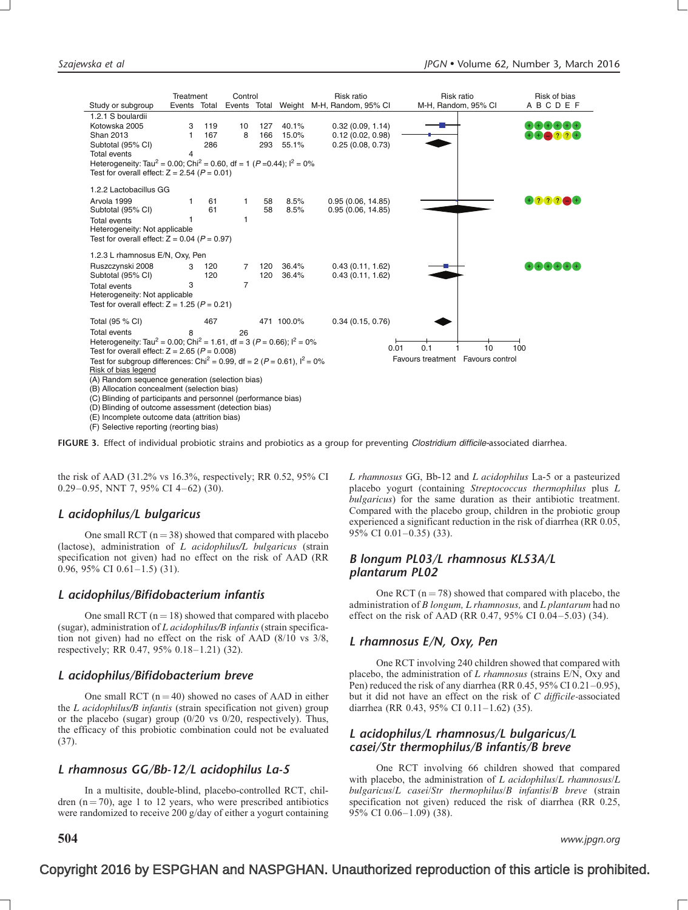<span id="page-9-0"></span>

|                                                                                                                                                                               | Treatment    |                   | Control |                   |                         | Risk ratio                                               | Risk ratio                        | Risk of bias                                                                                                                                                                                                                                                                                                                                                                                                            |
|-------------------------------------------------------------------------------------------------------------------------------------------------------------------------------|--------------|-------------------|---------|-------------------|-------------------------|----------------------------------------------------------|-----------------------------------|-------------------------------------------------------------------------------------------------------------------------------------------------------------------------------------------------------------------------------------------------------------------------------------------------------------------------------------------------------------------------------------------------------------------------|
| Study or subgroup                                                                                                                                                             | Events Total |                   |         |                   |                         | Events Total Weight M-H, Random, 95% CI                  | M-H, Random, 95% CI               | ABCDEF                                                                                                                                                                                                                                                                                                                                                                                                                  |
| 1.2.1 S boulardii<br>Kotowska 2005<br>Shan 2013<br>Subtotal (95% CI)<br><b>Total events</b>                                                                                   | 3<br>1<br>4  | 119<br>167<br>286 | 10<br>8 | 127<br>166<br>293 | 40.1%<br>15.0%<br>55.1% | 0.32(0.09, 1.14)<br>0.12(0.02, 0.98)<br>0.25(0.08, 0.73) |                                   |                                                                                                                                                                                                                                                                                                                                                                                                                         |
| Heterogeneity: Tau <sup>2</sup> = 0.00; Chi <sup>2</sup> = 0.60, df = 1 (P=0.44); $I^2 = 0\%$<br>Test for overall effect: $Z = 2.54$ ( $P = 0.01$ )                           |              |                   |         |                   |                         |                                                          |                                   |                                                                                                                                                                                                                                                                                                                                                                                                                         |
| 1.2.2 Lactobacillus GG                                                                                                                                                        |              |                   |         |                   |                         |                                                          |                                   |                                                                                                                                                                                                                                                                                                                                                                                                                         |
| Arvola 1999<br>Subtotal (95% CI)                                                                                                                                              | 1            | 61<br>61          | 1       | 58<br>58          | 8.5%<br>8.5%            | 0.95(0.06, 14.85)<br>0.95(0.06, 14.85)                   |                                   | $\bigoplus$ ? ? ? $\bigoplus$                                                                                                                                                                                                                                                                                                                                                                                           |
| <b>Total events</b><br>Heterogeneity: Not applicable<br>Test for overall effect: $Z = 0.04$ ( $P = 0.97$ )                                                                    | 1            |                   | 1       |                   |                         |                                                          |                                   |                                                                                                                                                                                                                                                                                                                                                                                                                         |
| 1.2.3 L rhamnosus E/N, Oxy, Pen                                                                                                                                               |              |                   |         |                   |                         |                                                          |                                   |                                                                                                                                                                                                                                                                                                                                                                                                                         |
| Ruszczynski 2008<br>Subtotal (95% CI)                                                                                                                                         | 3<br>3       | 120<br>120        | 7<br>7  | 120<br>120        | 36.4%<br>36.4%          | 0.43(0.11, 1.62)<br>0.43(0.11, 1.62)                     |                                   | $\begin{array}{l} \textcolor{red}{\blacksquare}\textcolor{red}{\blacksquare}\textcolor{red}{\blacksquare}\textcolor{red}{\blacksquare}\textcolor{red}{\blacksquare}\textcolor{red}{\blacksquare}\textcolor{red}{\blacksquare}\textcolor{red}{\blacksquare}\textcolor{red}{\blacksquare}\textcolor{red}{\blacksquare}\textcolor{red}{\blacksquare}\textcolor{red}{\blacksquare}\textcolor{red}{\blacksquare}\end{array}$ |
| <b>Total events</b><br>Heterogeneity: Not applicable<br>Test for overall effect: $Z = 1.25$ ( $P = 0.21$ )                                                                    |              |                   |         |                   |                         |                                                          |                                   |                                                                                                                                                                                                                                                                                                                                                                                                                         |
| Total (95 % CI)                                                                                                                                                               |              | 467               |         |                   | 471 100.0%              | 0.34(0.15, 0.76)                                         |                                   |                                                                                                                                                                                                                                                                                                                                                                                                                         |
| <b>Total events</b><br>Heterogeneity: Tau <sup>2</sup> = 0.00; Chi <sup>2</sup> = 1.61, df = 3 (P = 0.66); $l^2 = 0\%$<br>Test for overall effect: $Z = 2.65$ ( $P = 0.008$ ) | 8            |                   | 26      |                   |                         |                                                          | 0.1<br>0.01                       | 10<br>100                                                                                                                                                                                                                                                                                                                                                                                                               |
| Test for subgroup differences: Chi <sup>2</sup> = 0.99, df = 2 ( $P = 0.61$ ), $1^2 = 0\%$<br>Risk of bias legend                                                             |              |                   |         |                   |                         |                                                          | Favours treatment Favours control |                                                                                                                                                                                                                                                                                                                                                                                                                         |
| (A) Random sequence generation (selection bias)<br>(B) Allocation concealment (selection bias)                                                                                |              |                   |         |                   |                         |                                                          |                                   |                                                                                                                                                                                                                                                                                                                                                                                                                         |
| (C) Blinding of participants and personnel (performance bias)                                                                                                                 |              |                   |         |                   |                         |                                                          |                                   |                                                                                                                                                                                                                                                                                                                                                                                                                         |
| (D) Blinding of outcome assessment (detection bias)<br>(E) Incomplete outcome data (attrition bias)                                                                           |              |                   |         |                   |                         |                                                          |                                   |                                                                                                                                                                                                                                                                                                                                                                                                                         |
| (F) Selective reporting (reorting bias)                                                                                                                                       |              |                   |         |                   |                         |                                                          |                                   |                                                                                                                                                                                                                                                                                                                                                                                                                         |

FIGURE 3. Effect of individual probiotic strains and probiotics as a group for preventing Clostridium difficile-associated diarrhea.

the risk of AAD (31.2% vs 16.3%, respectively; RR 0.52, 95% CI 0.29–0.95, NNT 7, 95% CI 4–62) [\(30\).](#page-11-0)

#### L acidophilus/L bulgaricus

One small RCT  $(n = 38)$  showed that compared with placebo (lactose), administration of L acidophilus/L bulgaricus (strain specification not given) had no effect on the risk of AAD (RR 0.96, 95% CI 0.61–1.5) [\(31\)](#page-11-0).

#### L acidophilus/Bifidobacterium infantis

One small RCT  $(n = 18)$  showed that compared with placebo (sugar), administration of L acidophilus/B infantis (strain specification not given) had no effect on the risk of AAD (8/10 vs 3/8, respectively; RR 0.47, 95% 0.18–1.21) [\(32\).](#page-11-0)

#### L acidophilus/Bifidobacterium breve

One small RCT  $(n = 40)$  showed no cases of AAD in either the *L* acidophilus/*B* infantis (strain specification not given) group or the placebo (sugar) group (0/20 vs 0/20, respectively). Thus, the efficacy of this probiotic combination could not be evaluated [\(37\)](#page-11-0).

#### L rhamnosus GG/Bb-12/L acidophilus La-5

In a multisite, double-blind, placebo-controlled RCT, children  $(n = 70)$ , age 1 to 12 years, who were prescribed antibiotics were randomized to receive 200 g/day of either a yogurt containing L rhamnosus GG, Bb-12 and L acidophilus La-5 or a pasteurized placebo yogurt (containing Streptococcus thermophilus plus L bulgaricus) for the same duration as their antibiotic treatment. Compared with the placebo group, children in the probiotic group experienced a significant reduction in the risk of diarrhea (RR 0.05, 95% CI 0.01–0.35) [\(33\)](#page-11-0).

#### B longum PL03/L rhamnosus KL53A/L plantarum PL02

One RCT  $(n = 78)$  showed that compared with placebo, the administration of B longum, L rhamnosus, and L plantarum had no effect on the risk of AAD (RR 0.47, 95% CI 0.04–5.03) [\(34\)](#page-11-0).

#### L rhamnosus E/N, Oxy, Pen

One RCT involving 240 children showed that compared with placebo, the administration of L rhamnosus (strains E/N, Oxy and Pen) reduced the risk of any diarrhea (RR 0.45, 95% CI 0.21–0.95), but it did not have an effect on the risk of C difficile-associated diarrhea (RR 0.43, 95% CI 0.11–1.62) [\(35\).](#page-11-0)

#### L acidophilus/L rhamnosus/L bulgaricus/L casei/Str thermophilus/B infantis/B breve

One RCT involving 66 children showed that compared with placebo, the administration of L acidophilus/L rhamnosus/L bulgaricus/L casei/Str thermophilus/B infantis/B breve (strain specification not given) reduced the risk of diarrhea (RR 0.25, 95% CI 0.06–1.09) [\(38\)](#page-11-0).

 $\bf 504$  www.jpgn.org  $\bf$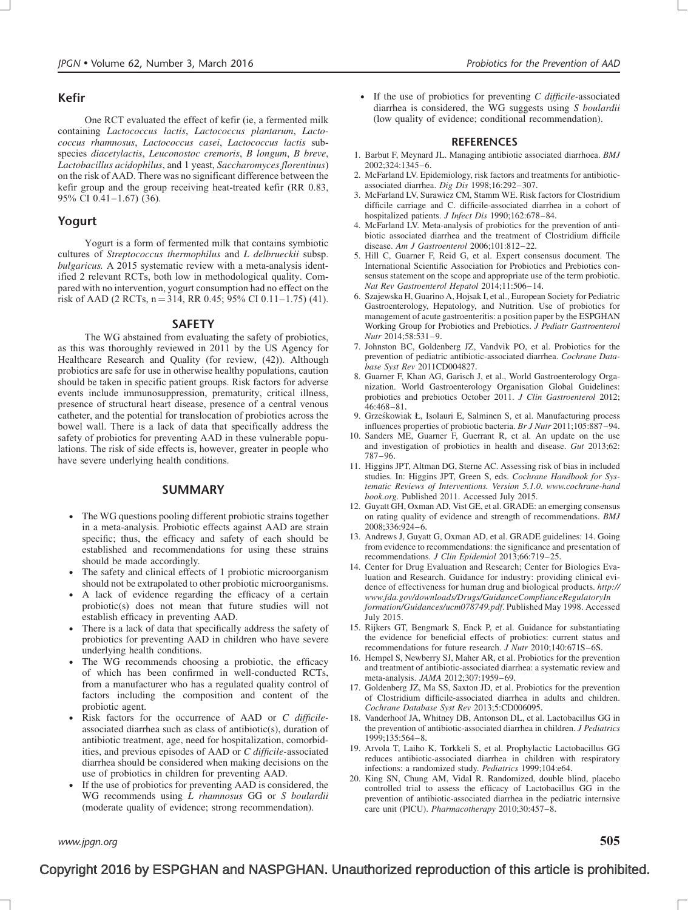<span id="page-10-0"></span>One RCT evaluated the effect of kefir (ie, a fermented milk containing Lactococcus lactis, Lactococcus plantarum, Lactococcus rhamnosus, Lactococcus casei, Lactococcus lactis subspecies diacetylactis, Leuconostoc cremoris, B longum, B breve, Lactobacillus acidophilus, and 1 yeast, Saccharomyces florentinus) on the risk of AAD. There was no significant difference between the kefir group and the group receiving heat-treated kefir (RR 0.83, 95% CI 0.41–1.67) [\(36\).](#page-11-0)

#### Yogurt

Yogurt is a form of fermented milk that contains symbiotic cultures of Streptococcus thermophilus and L delbrueckii subsp. bulgaricus. A 2015 systematic review with a meta-analysis identified 2 relevant RCTs, both low in methodological quality. Compared with no intervention, yogurt consumption had no effect on the risk of AAD (2 RCTs,  $n = 314$ , RR 0.45; 95% CI 0.11–1.75) [\(41\).](#page-11-0)

#### SAFETY

The WG abstained from evaluating the safety of probiotics, as this was thoroughly reviewed in 2011 by the US Agency for Healthcare Research and Quality (for review, [\(42\)](#page-11-0)). Although probiotics are safe for use in otherwise healthy populations, caution should be taken in specific patient groups. Risk factors for adverse events include immunosuppression, prematurity, critical illness, presence of structural heart disease, presence of a central venous catheter, and the potential for translocation of probiotics across the bowel wall. There is a lack of data that specifically address the safety of probiotics for preventing AAD in these vulnerable populations. The risk of side effects is, however, greater in people who have severe underlying health conditions.

#### SUMMARY

- The WG questions pooling different probiotic strains together in a meta-analysis. Probiotic effects against AAD are strain specific; thus, the efficacy and safety of each should be established and recommendations for using these strains should be made accordingly.
- The safety and clinical effects of 1 probiotic microorganism should not be extrapolated to other probiotic microorganisms.
- A lack of evidence regarding the efficacy of a certain probiotic(s) does not mean that future studies will not establish efficacy in preventing AAD.
- There is a lack of data that specifically address the safety of probiotics for preventing AAD in children who have severe underlying health conditions.
- The WG recommends choosing a probiotic, the efficacy of which has been confirmed in well-conducted RCTs, from a manufacturer who has a regulated quality control of factors including the composition and content of the probiotic agent.
- Risk factors for the occurrence of AAD or C difficileassociated diarrhea such as class of antibiotic(s), duration of antibiotic treatment, age, need for hospitalization, comorbidities, and previous episodes of AAD or C difficile-associated diarrhea should be considered when making decisions on the use of probiotics in children for preventing AAD.
- If the use of probiotics for preventing AAD is considered, the WG recommends using L rhamnosus GG or S boulardii (moderate quality of evidence; strong recommendation).

If the use of probiotics for preventing  $C$  difficile-associated diarrhea is considered, the WG suggests using S boulardii (low quality of evidence; conditional recommendation).

#### **REFERENCES**

- 1. Barbut F, Meynard JL. Managing antibiotic associated diarrhoea. BMJ 2002;324:1345–6.
- 2. McFarland LV. Epidemiology, risk factors and treatments for antibioticassociated diarrhea. Dig Dis 1998;16:292–307.
- 3. McFarland LV, Surawicz CM, Stamm WE. Risk factors for Clostridium difficile carriage and C. difficile-associated diarrhea in a cohort of hospitalized patients. *J Infect Dis* 1990;162:678-84.
- 4. McFarland LV. Meta-analysis of probiotics for the prevention of antibiotic associated diarrhea and the treatment of Clostridium difficile disease. Am J Gastroenterol 2006;101:812–22.
- 5. Hill C, Guarner F, Reid G, et al. Expert consensus document. The International Scientific Association for Probiotics and Prebiotics consensus statement on the scope and appropriate use of the term probiotic. Nat Rev Gastroenterol Hepatol 2014;11:506–14.
- 6. Szajewska H, Guarino A, Hojsak I, et al., European Society for Pediatric Gastroenterology, Hepatology, and Nutrition. Use of probiotics for management of acute gastroenteritis: a position paper by the ESPGHAN Working Group for Probiotics and Prebiotics. J Pediatr Gastroenterol Nutr 2014;58:531–9.
- 7. Johnston BC, Goldenberg JZ, Vandvik PO, et al. Probiotics for the prevention of pediatric antibiotic-associated diarrhea. Cochrane Database Syst Rev 2011CD004827.
- 8. Guarner F, Khan AG, Garisch J, et al., World Gastroenterology Organization. World Gastroenterology Organisation Global Guidelines: probiotics and prebiotics October 2011. J Clin Gastroenterol 2012; 46:468–81.
- 9. Grzes´kowiak Ł, Isolauri E, Salminen S, et al. Manufacturing process influences properties of probiotic bacteria. Br J Nutr 2011;105:887–94.
- 10. Sanders ME, Guarner F, Guerrant R, et al. An update on the use and investigation of probiotics in health and disease. Gut 2013;62: 787–96.
- 11. Higgins JPT, Altman DG, Sterne AC. Assessing risk of bias in included studies. In: Higgins JPT, Green S, eds. Cochrane Handbook for Systematic Reviews of Interventions. Version 5.1.0. [www.cochrane-hand](http://www.cochrane-handbook.org/) [book.org](http://www.cochrane-handbook.org/). Published 2011. Accessed July 2015.
- 12. Guyatt GH, Oxman AD, Vist GE, et al. GRADE: an emerging consensus on rating quality of evidence and strength of recommendations. BMJ 2008;336:924–6.
- 13. Andrews J, Guyatt G, Oxman AD, et al. GRADE guidelines: 14. Going from evidence to recommendations: the significance and presentation of recommendations. J Clin Epidemiol 2013;66:719–25.
- 14. Center for Drug Evaluation and Research; Center for Biologics Evaluation and Research. Guidance for industry: providing clinical evidence of effectiveness for human drug and biological products. http:// www.fda.gov/downloads/Drugs/GuidanceComplianceRegulatoryIn formation/Guidances/ucm078749.pdf. Published May 1998. Accessed July 2015.
- 15. Rijkers GT, Bengmark S, Enck P, et al. Guidance for substantiating the evidence for beneficial effects of probiotics: current status and recommendations for future research. J Nutr 2010;140:671S–6S.
- 16. Hempel S, Newberry SJ, Maher AR, et al. Probiotics for the prevention and treatment of antibiotic-associated diarrhea: a systematic review and meta-analysis. JAMA 2012;307:1959–69.
- 17. Goldenberg JZ, Ma SS, Saxton JD, et al. Probiotics for the prevention of Clostridium difficile-associated diarrhea in adults and children. Cochrane Database Syst Rev 2013;5:CD006095.
- 18. Vanderhoof JA, Whitney DB, Antonson DL, et al. Lactobacillus GG in the prevention of antibiotic-associated diarrhea in children. J Pediatrics 1999;135:564–8.
- 19. Arvola T, Laiho K, Torkkeli S, et al. Prophylactic Lactobacillus GG reduces antibiotic-associated diarrhea in children with respiratory infections: a randomized study. Pediatrics 1999;104:e64.
- 20. King SN, Chung AM, Vidal R. Randomized, double blind, placebo controlled trial to assess the efficacy of Lactobacillus GG in the prevention of antibiotic-associated diarrhea in the pediatric internsive care unit (PICU). Pharmacotherapy 2010;30:457–8.

www.jpgn.org  $505$